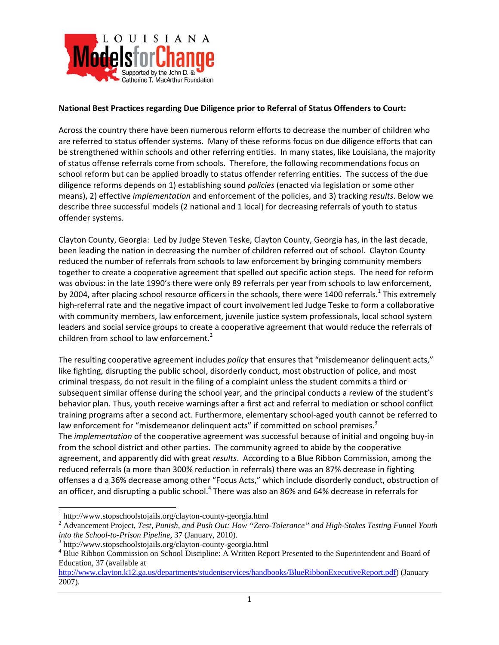

#### **National Best Practices regarding Due Diligence prior to Referral of Status Offenders to Court:**

Across the country there have been numerous reform efforts to decrease the number of children who are referred to status offender systems. Many of these reforms focus on due diligence efforts that can be strengthened within schools and other referring entities. In many states, like Louisiana, the majority of status offense referrals come from schools. Therefore, the following recommendations focus on school reform but can be applied broadly to status offender referring entities. The success of the due diligence reforms depends on 1) establishing sound *policies* (enacted via legislation or some other means), 2) effective *implementation* and enforcement of the policies, and 3) tracking *results*. Below we describe three successful models (2 national and 1 local) for decreasing referrals of youth to status offender systems.

Clayton County, Georgia: Led by Judge Steven Teske, Clayton County, Georgia has, in the last decade, been leading the nation in decreasing the number of children referred out of school. Clayton County reduced the number of referrals from schools to law enforcement by bringing community members together to create a cooperative agreement that spelled out specific action steps. The need for reform was obvious: in the late 1990's there were only 89 referrals per year from schools to law enforcement, by 2004, after placing school resource officers in the schools, there were 1400 referrals.<sup>1</sup> This extremely high-referral rate and the negative impact of court involvement led Judge Teske to form a collaborative with community members, law enforcement, juvenile justice system professionals, local school system leaders and social service groups to create a cooperative agreement that would reduce the referrals of children from school to law enforcement. $2$ 

The resulting cooperative agreement includes *policy* that ensures that "misdemeanor delinquent acts," like fighting, disrupting the public school, disorderly conduct, most obstruction of police, and most criminal trespass, do not result in the filing of a complaint unless the student commits a third or subsequent similar offense during the school year, and the principal conducts a review of the student's behavior plan. Thus, youth receive warnings after a first act and referral to mediation or school conflict training programs after a second act. Furthermore, elementary school‐aged youth cannot be referred to law enforcement for "misdemeanor delinquent acts" if committed on school premises.<sup>3</sup> The *implementation* of the cooperative agreement was successful because of initial and ongoing buy‐in from the school district and other parties. The community agreed to abide by the cooperative agreement, and apparently did with great *results*. According to a Blue Ribbon Commission, among the reduced referrals (a more than 300% reduction in referrals) there was an 87% decrease in fighting offenses a d a 36% decrease among other "Focus Acts," which include disorderly conduct, obstruction of an officer, and disrupting a public school.<sup>4</sup> There was also an 86% and 64% decrease in referrals for

 $\overline{a}$ 

<sup>&</sup>lt;sup>1</sup> http://www.stopschoolstojails.org/clayton-county-georgia.html<br> $2^2$  Advancement Project *Test Punish and Push Out* How "Zero"

Advancement Project, *Test, Punish, and Push Out: How "Zero-Tolerance" and High-Stakes Testing Funnel Youth into the School-to-Prison Pipeline*, 37 (January, 2010).

<sup>&</sup>lt;sup>3</sup> http://www.stopschoolstojails.org/clayton-county-georgia.html

<sup>&</sup>lt;sup>4</sup> Blue Ribbon Commission on School Discipline: A Written Report Presented to the Superintendent and Board of Education, 37 (available at

http://www.clayton.k12.ga.us/departments/studentservices/handbooks/BlueRibbonExecutiveReport.pdf) (January 2007).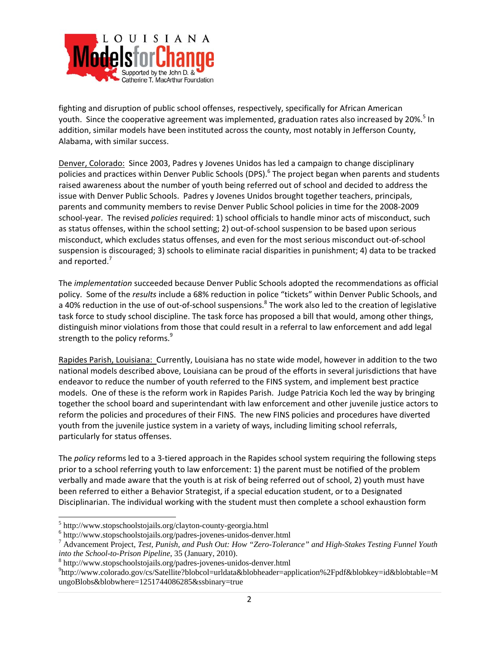

fighting and disruption of public school offenses, respectively, specifically for African American youth. Since the cooperative agreement was implemented, graduation rates also increased by 20%.<sup>5</sup> In addition, similar models have been instituted across the county, most notably in Jefferson County, Alabama, with similar success.

Denver, Colorado: Since 2003, Padres y Jovenes Unidos has led a campaign to change disciplinary policies and practices within Denver Public Schools (DPS).<sup>6</sup> The project began when parents and students raised awareness about the number of youth being referred out of school and decided to address the issue with Denver Public Schools. Padres y Jovenes Unidos brought together teachers, principals, parents and community members to revise Denver Public School policies in time for the 2008‐2009 school‐year. The revised *policies* required: 1) school officials to handle minor acts of misconduct, such as status offenses, within the school setting; 2) out-of-school suspension to be based upon serious misconduct, which excludes status offenses, and even for the most serious misconduct out‐of‐school suspension is discouraged; 3) schools to eliminate racial disparities in punishment; 4) data to be tracked and reported.<sup>7</sup>

The *implementation* succeeded because Denver Public Schools adopted the recommendations as official policy. Some of the *results* include a 68% reduction in police "tickets" within Denver Public Schools, and a 40% reduction in the use of out-of-school suspensions.<sup>8</sup> The work also led to the creation of legislative task force to study school discipline. The task force has proposed a bill that would, among other things, distinguish minor violations from those that could result in a referral to law enforcement and add legal strength to the policy reforms.<sup>9</sup>

Rapides Parish, Louisiana: Currently, Louisiana has no state wide model, however in addition to the two national models described above, Louisiana can be proud of the efforts in several jurisdictions that have endeavor to reduce the number of youth referred to the FINS system, and implement best practice models. One of these is the reform work in Rapides Parish. Judge Patricia Koch led the way by bringing together the school board and superintendant with law enforcement and other juvenile justice actors to reform the policies and procedures of their FINS. The new FINS policies and procedures have diverted youth from the juvenile justice system in a variety of ways, including limiting school referrals, particularly for status offenses.

The *policy* reforms led to a 3‐tiered approach in the Rapides school system requiring the following steps prior to a school referring youth to law enforcement: 1) the parent must be notified of the problem verbally and made aware that the youth is at risk of being referred out of school, 2) youth must have been referred to either a Behavior Strategist, if a special education student, or to a Designated Disciplinarian. The individual working with the student must then complete a school exhaustion form

 $\overline{a}$ 

 $^5$  http://www.stopschoolstojails.org/clayton-county-georgia.html<br> $^6$  http://www.stopschoolstojails.org/padres.joyanes.yujdes.donya

 $6$  http://www.stopschoolstojails.org/padres-jovenes-unidos-denver.html

Advancement Project, *Test, Punish, and Push Out: How "Zero-Tolerance" and High-Stakes Testing Funnel Youth into the School-to-Prison Pipeline*, 35 (January, 2010).

http://www.stopschoolstojails.org/padres-jovenes-unidos-denver.html 9

http://www.colorado.gov/cs/Satellite?blobcol=urldata&blobheader=application%2Fpdf&blobkey=id&blobtable=M ungoBlobs&blobwhere=1251744086285&ssbinary=true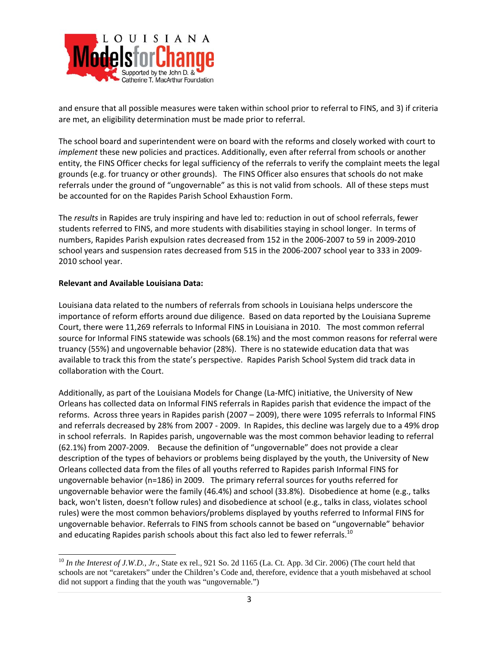

and ensure that all possible measures were taken within school prior to referral to FINS, and 3) if criteria are met, an eligibility determination must be made prior to referral.

The school board and superintendent were on board with the reforms and closely worked with court to *implement* these new policies and practices. Additionally, even after referral from schools or another entity, the FINS Officer checks for legal sufficiency of the referrals to verify the complaint meets the legal grounds (e.g. for truancy or other grounds). The FINS Officer also ensures that schools do not make referrals under the ground of "ungovernable" as this is not valid from schools. All of these steps must be accounted for on the Rapides Parish School Exhaustion Form.

The *results* in Rapides are truly inspiring and have led to: reduction in out of school referrals, fewer students referred to FINS, and more students with disabilities staying in school longer. In terms of numbers, Rapides Parish expulsion rates decreased from 152 in the 2006‐2007 to 59 in 2009‐2010 school years and suspension rates decreased from 515 in the 2006‐2007 school year to 333 in 2009‐ 2010 school year.

#### **Relevant and Available Louisiana Data:**

 $\overline{a}$ 

Louisiana data related to the numbers of referrals from schools in Louisiana helps underscore the importance of reform efforts around due diligence. Based on data reported by the Louisiana Supreme Court, there were 11,269 referrals to Informal FINS in Louisiana in 2010. The most common referral source for Informal FINS statewide was schools (68.1%) and the most common reasons for referral were truancy (55%) and ungovernable behavior (28%). There is no statewide education data that was available to track this from the state's perspective. Rapides Parish School System did track data in collaboration with the Court.

Additionally, as part of the Louisiana Models for Change (La‐MfC) initiative, the University of New Orleans has collected data on Informal FINS referrals in Rapides parish that evidence the impact of the reforms. Across three years in Rapides parish (2007 – 2009), there were 1095 referrals to Informal FINS and referrals decreased by 28% from 2007 ‐ 2009. In Rapides, this decline was largely due to a 49% drop in school referrals. In Rapides parish, ungovernable was the most common behavior leading to referral (62.1%) from 2007‐2009. Because the definition of "ungovernable" does not provide a clear description of the types of behaviors or problems being displayed by the youth, the University of New Orleans collected data from the files of all youths referred to Rapides parish Informal FINS for ungovernable behavior (n=186) in 2009. The primary referral sources for youths referred for ungovernable behavior were the family (46.4%) and school (33.8%). Disobedience at home (e.g., talks back, won't listen, doesn't follow rules) and disobedience at school (e.g., talks in class, violates school rules) were the most common behaviors/problems displayed by youths referred to Informal FINS for ungovernable behavior. Referrals to FINS from schools cannot be based on "ungovernable" behavior and educating Rapides parish schools about this fact also led to fewer referrals.<sup>10</sup>

<sup>&</sup>lt;sup>10</sup> In the Interest of J.W.D., Jr., State ex rel., 921 So. 2d 1165 (La. Ct. App. 3d Cir. 2006) (The court held that schools are not "caretakers" under the Children's Code and, therefore, evidence that a youth misbehaved at school did not support a finding that the youth was "ungovernable.")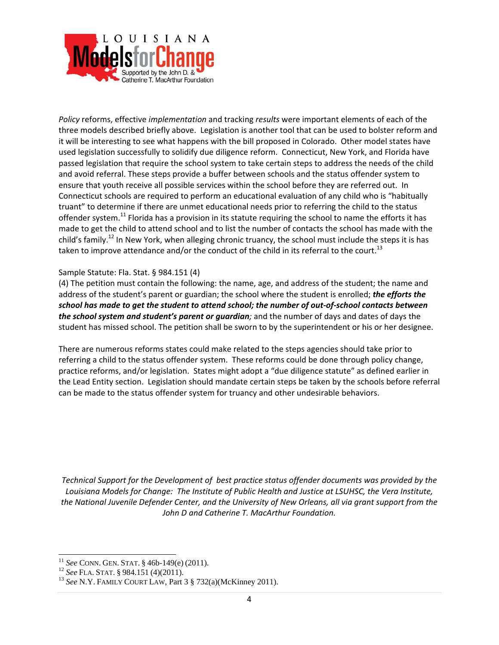

*Policy* reforms, effective *implementation* and tracking *results* were important elements of each of the three models described briefly above. Legislation is another tool that can be used to bolster reform and it will be interesting to see what happens with the bill proposed in Colorado. Other model states have used legislation successfully to solidify due diligence reform. Connecticut, New York, and Florida have passed legislation that require the school system to take certain steps to address the needs of the child and avoid referral. These steps provide a buffer between schools and the status offender system to ensure that youth receive all possible services within the school before they are referred out. In Connecticut schools are required to perform an educational evaluation of any child who is "habitually truant" to determine if there are unmet educational needs prior to referring the child to the status offender system.<sup>11</sup> Florida has a provision in its statute requiring the school to name the efforts it has made to get the child to attend school and to list the number of contacts the school has made with the child's family.<sup>12</sup> In New York, when alleging chronic truancy, the school must include the steps it is has taken to improve attendance and/or the conduct of the child in its referral to the court.<sup>13</sup>

#### Sample Statute: Fla. Stat. § 984.151 (4)

(4) The petition must contain the following: the name, age, and address of the student; the name and address of the student's parent or guardian; the school where the student is enrolled; *the efforts the* school has made to get the student to attend school; the number of out-of-school contacts between *the school system and student's parent or guardian;* and the number of days and dates of days the student has missed school. The petition shall be sworn to by the superintendent or his or her designee.

There are numerous reforms states could make related to the steps agencies should take prior to referring a child to the status offender system. These reforms could be done through policy change, practice reforms, and/or legislation. States might adopt a "due diligence statute" as defined earlier in the Lead Entity section. Legislation should mandate certain steps be taken by the schools before referral can be made to the status offender system for truancy and other undesirable behaviors.

*Technical Support for the Development of best practice status offender documents was provided by the Louisiana Models for Change: The Institute of Public Health and Justice at LSUHSC, the Vera Institute, the National Juvenile Defender Center, and the University of New Orleans, all via grant support from the John D and Catherine T. MacArthur Foundation.*

<sup>&</sup>lt;sup>11</sup> See CONN. GEN. STAT. § 46b-149(e) (2011).

<sup>12</sup> *See* FLA. STAT. § 984.151 (4)(2011).<br><sup>12</sup> *See* FLA. STAT. § 984.151 (4)(2011).<br><sup>13</sup> *See* N.Y. FAMILY COURT LAW, Part 3 § 732(a)(McKinney 2011).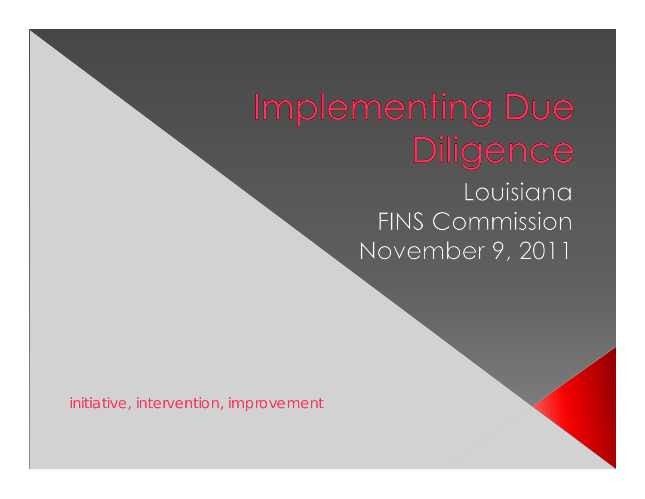## Implementing Due Diligence Louisiana FINS Commission November 9, 2011

initiative, intervention, improvement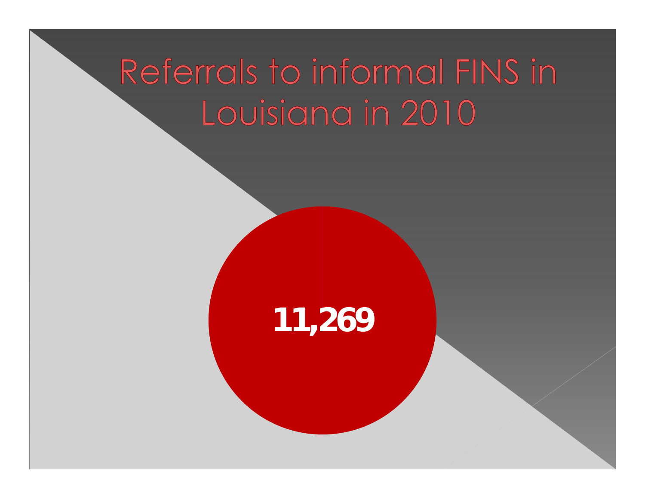# Referrals to informal FINS in Louisiana in 2010

## **11,269**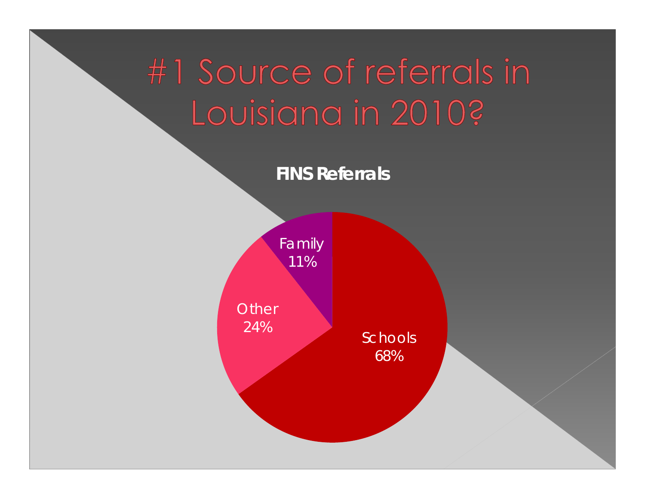# #1 Source of referrals in Louisiana in 2010?

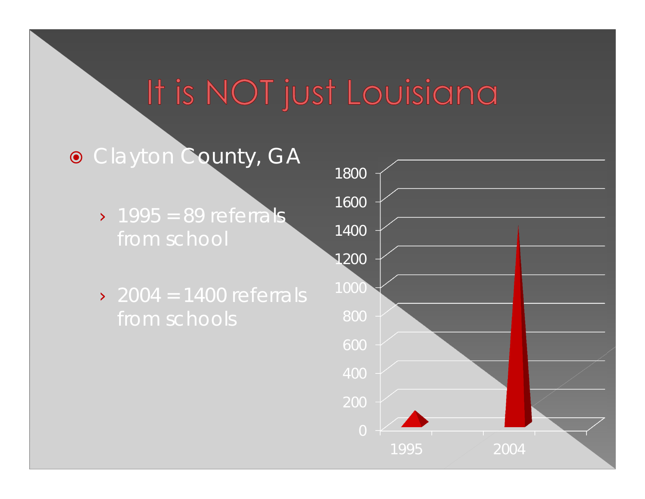## It is NOT just Louisiana

## **• Clayton County, GA**

- $\geq 1995 = 89$  referrals
- $\geq$  2004 = 1400 referrals

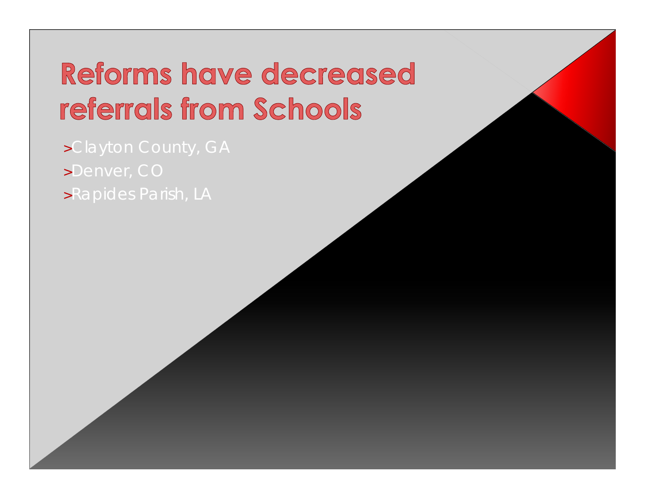## Reforms have decreased referrals from Schools

>Clayton County, GA >Denver, CO >Rapides Parish, LA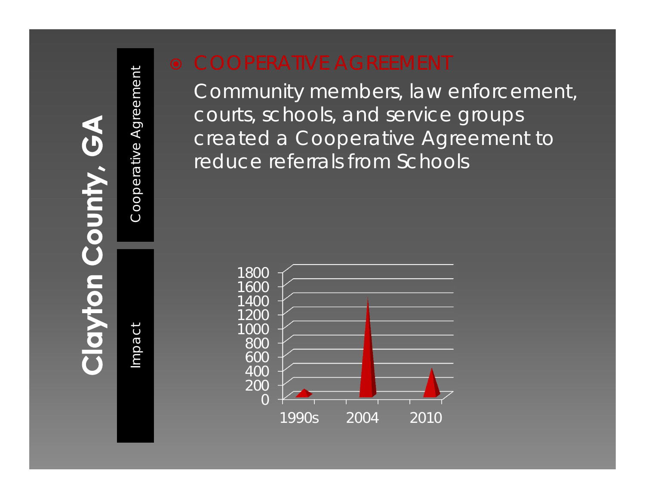**County, GA** 

Cooperative Agreement

COOPERATIVE AGREEMENT<br>
Community members, law enforcement,<br>
courts, schools, and service groups<br>
created a Cooperative Agreement to<br>
reduce referrals from Schools<br>
aga<br>
1800<br>
1800<br>
1800<br>
1900<br>
1900<br>
1900<br>
1900<br>
1900<br>
1900<br>

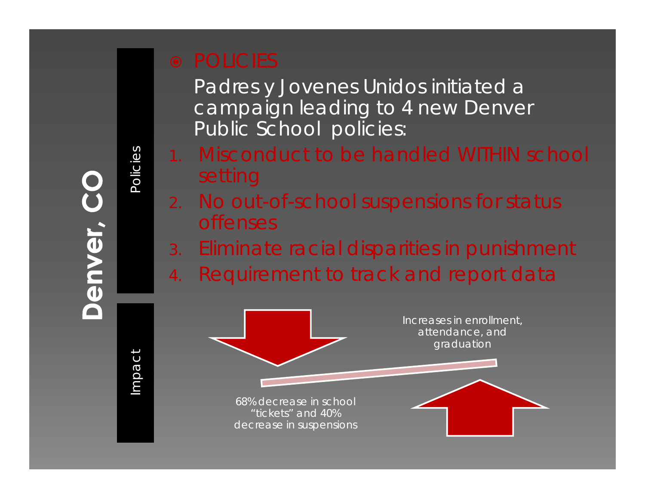# Denver,

# Impact

Policies

Padres y Jovenes Unidos initiated a campaign leading to 4 new Denver Public School policies:

- 1. Misconduct to be handled WITHIN school setting
- 2. No out-of-school suspensions for status offenses
- 3. Eliminate racial disparities in punishment
- 4.Requirement to track and report data

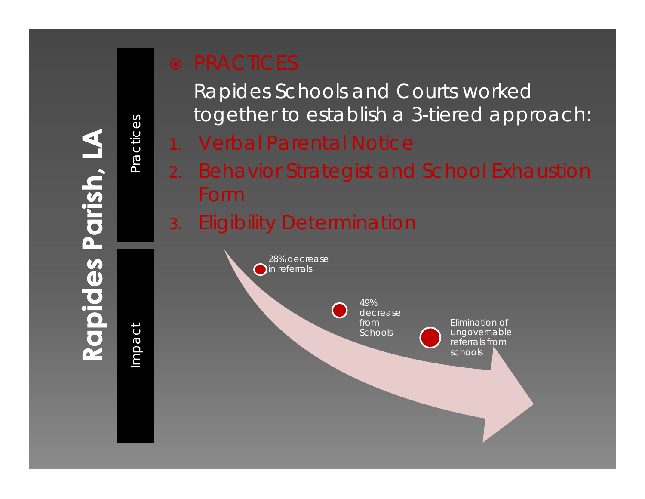# Impact

Practices

Practices

Rapides Schools and Courts worked together to establish a 3-tiered approach:

- 1. Verbal Parental Notice
- 2. Behavior Strategist and School Exhaustion Form
- 3.Eligibility Determination

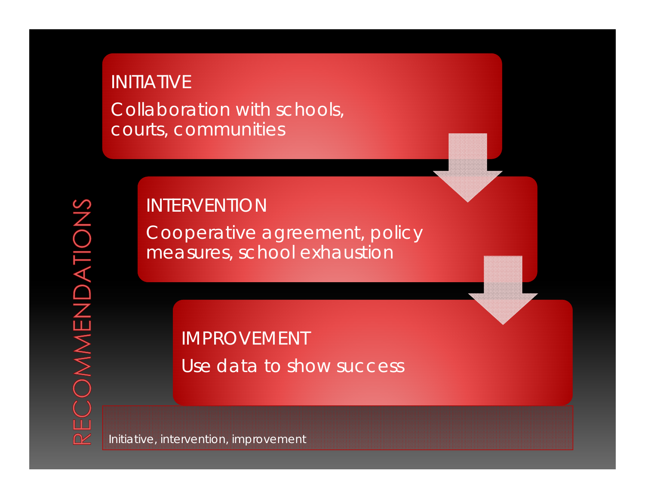## INITIATIVE Collaboration with schools, courts, communities

### INTERVENTION

Cooperative agreement, policy measures, school exhaustion

> IMPROVEMENT Use data to show success

Initiative, intervention, improvement